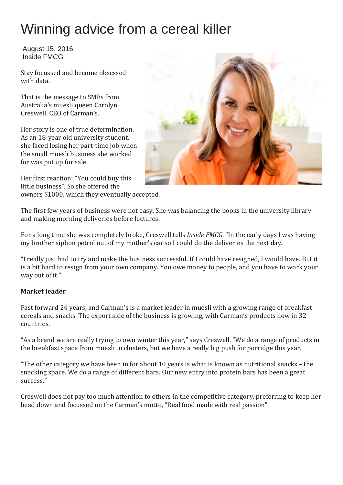# Winning advice from a cereal killer

August 15, 2016 Inside FMCG

Stay focussed and become obsessed with data.

That is the message to SMEs from Australia's muesli queen Carolyn Creswell, CEO of Carman's.

Her story is one of true determination. As an 18-year old university student, she faced losing her part-time job when the small muesli business she worked for was put up for sale.

Her first reaction: "You could buy this little business". So she offered the owners \$1000, which they eventually accepted.



The first few years of business were not easy. She was balancing the books in the university library and making morning deliveries before lectures.

For a long time she was completely broke, Creswell tells *Inside FMCG*. "In the early days I was having my brother siphon petrol out of my mother's car so I could do the deliveries the next day.

"I really just had to try and make the business successful. If I could have resigned, I would have. But it is a bit hard to resign from your own company. You owe money to people, and you have to work your way out of it."

### **Market leader**

Fast forward 24 years, and Carman's is a market leader in muesli with a growing range of breakfast cereals and snacks. The export side of the business is growing, with Carman's products now in 32 countries.

"As a brand we are really trying to own winter this year," says Creswell. "We do a range of products in the breakfast space from muesli to clusters, but we have a really big push for porridge this year.

"The other category we have been in for about 10 years is what is known as nutritional snacks – the snacking space. We do a range of different bars. Our new entry into protein bars has been a great success."

Creswell does not pay too much attention to others in the competitive category, preferring to keep her head down and focussed on the Carman's motto, "Real food made with real passion".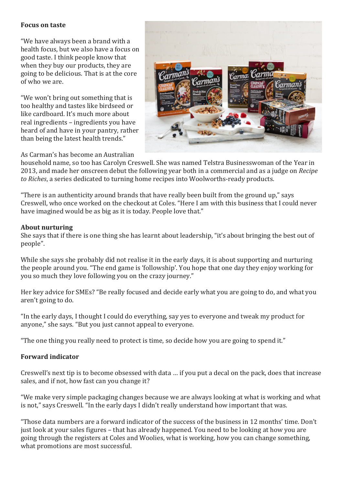#### **Focus on taste**

"We have always been a brand with a health focus, but we also have a focus on good taste. I think people know that when they buy our products, they are going to be delicious. That is at the core of who we are.

"We won't bring out something that is too healthy and tastes like birdseed or like cardboard. It's much more about real ingredients – ingredients you have heard of and have in your pantry, rather than being the latest health trends."



As Carman's has become an Australian

household name, so too has Carolyn Creswell. She was named Telstra Businesswoman of the Year in 2013, and made her onscreen debut the following year both in a commercial and as a judge on *Recipe to Riches*, a series dedicated to turning home recipes into Woolworths-ready products.

"There is an authenticity around brands that have really been built from the ground up," says Creswell, who once worked on the checkout at Coles. "Here I am with this business that I could never have imagined would be as big as it is today. People love that."

#### **About nurturing**

She says that if there is one thing she has learnt about leadership, "it's about bringing the best out of people".

While she says she probably did not realise it in the early days, it is about supporting and nurturing the people around you. "The end game is 'followship'. You hope that one day they enjoy working for you so much they love following you on the crazy journey."

Her key advice for SMEs? "Be really focused and decide early what you are going to do, and what you aren't going to do.

"In the early days, I thought I could do everything, say yes to everyone and tweak my product for anyone," she says. "But you just cannot appeal to everyone.

"The one thing you really need to protect is time, so decide how you are going to spend it."

#### **Forward indicator**

Creswell's next tip is to become obsessed with data … if you put a decal on the pack, does that increase sales, and if not, how fast can you change it?

"We make very simple packaging changes because we are always looking at what is working and what is not," says Creswell. "In the early days I didn't really understand how important that was.

"Those data numbers are a forward indicator of the success of the business in 12 months' time. Don't just look at your sales figures – that has already happened. You need to be looking at how you are going through the registers at Coles and Woolies, what is working, how you can change something, what promotions are most successful.